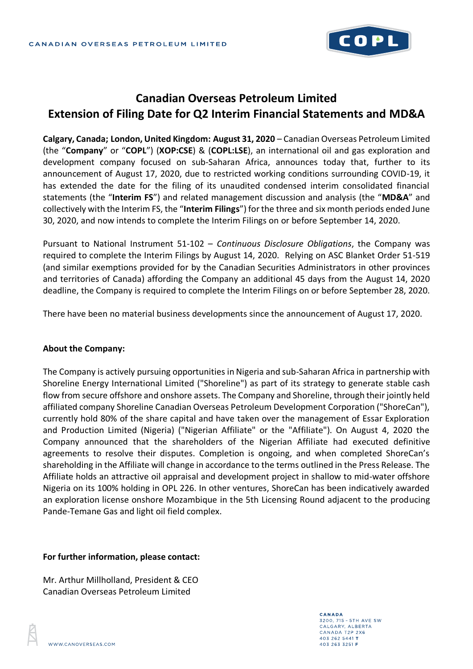

## **Canadian Overseas Petroleum Limited Extension of Filing Date for Q2 Interim Financial Statements and MD&A**

**Calgary, Canada; London, United Kingdom: August 31, 2020** – Canadian Overseas Petroleum Limited (the "**Company**" or "**COPL**") (**XOP:CSE**) & (**COPL:LSE**), an international oil and gas exploration and development company focused on sub-Saharan Africa, announces today that, further to its announcement of August 17, 2020, due to restricted working conditions surrounding COVID-19, it has extended the date for the filing of its unaudited condensed interim consolidated financial statements (the "**Interim FS**") and related management discussion and analysis (the "**MD&A**" and collectively with the Interim FS, the "**Interim Filings**") for the three and six month periods ended June 30, 2020, and now intends to complete the Interim Filings on or before September 14, 2020.

Pursuant to National Instrument 51-102 – *Continuous Disclosure Obligations*, the Company was required to complete the Interim Filings by August 14, 2020. Relying on ASC Blanket Order 51-519 (and similar exemptions provided for by the Canadian Securities Administrators in other provinces and territories of Canada) affording the Company an additional 45 days from the August 14, 2020 deadline, the Company is required to complete the Interim Filings on or before September 28, 2020.

There have been no material business developments since the announcement of August 17, 2020.

## **About the Company:**

The Company is actively pursuing opportunities in Nigeria and sub-Saharan Africa in partnership with Shoreline Energy International Limited ("Shoreline") as part of its strategy to generate stable cash flow from secure offshore and onshore assets. The Company and Shoreline, through their jointly held affiliated company Shoreline Canadian Overseas Petroleum Development Corporation ("ShoreCan"), currently hold 80% of the share capital and have taken over the management of Essar Exploration and Production Limited (Nigeria) ("Nigerian Affiliate" or the "Affiliate"). On August 4, 2020 the Company announced that the shareholders of the Nigerian Affiliate had executed definitive agreements to resolve their disputes. Completion is ongoing, and when completed ShoreCan's shareholding in the Affiliate will change in accordance to the terms outlined in the Press Release. The Affiliate holds an attractive oil appraisal and development project in shallow to mid-water offshore Nigeria on its 100% holding in OPL 226. In other ventures, ShoreCan has been indicatively awarded an exploration license onshore Mozambique in the 5th Licensing Round adjacent to the producing Pande-Temane Gas and light oil field complex.

## **For further information, please contact:**

Mr. Arthur Millholland, President & CEO Canadian Overseas Petroleum Limited